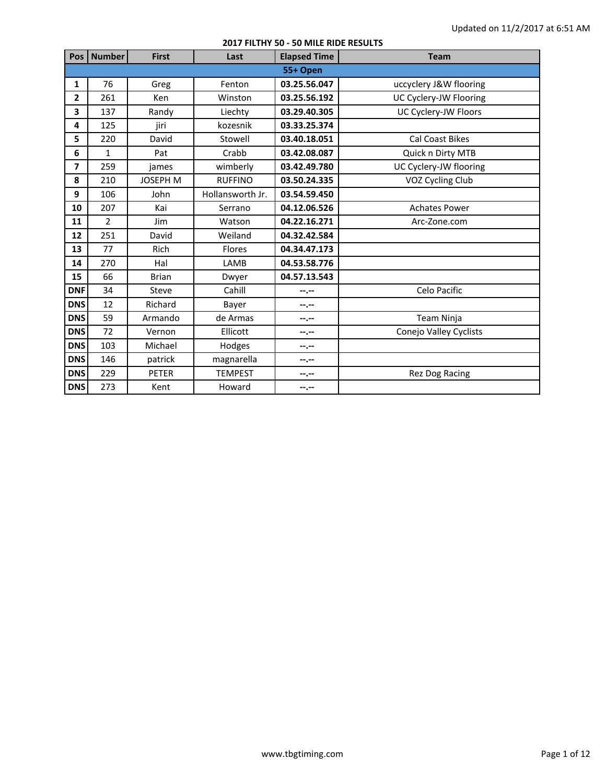| Pos          | <b>Number</b>  | <b>First</b>    | Last             | <b>Elapsed Time</b> | <b>Team</b>            |
|--------------|----------------|-----------------|------------------|---------------------|------------------------|
|              |                |                 |                  | 55+ Open            |                        |
| $\mathbf{1}$ | 76             | Greg            | Fenton           | 03.25.56.047        | uccyclery J&W flooring |
| 2            | 261            | Ken             | Winston          | 03.25.56.192        | UC Cyclery-JW Flooring |
| 3            | 137            | Randy           | Liechty          | 03.29.40.305        | UC Cyclery-JW Floors   |
| 4            | 125            | jiri            | kozesnik         | 03.33.25.374        |                        |
| 5            | 220            | David           | Stowell          | 03.40.18.051        | <b>Cal Coast Bikes</b> |
| 6            | $\mathbf{1}$   | Pat             | Crabb            | 03.42.08.087        | Quick n Dirty MTB      |
| 7            | 259            | james           | wimberly         | 03.42.49.780        | UC Cyclery-JW flooring |
| 8            | 210            | <b>JOSEPH M</b> | <b>RUFFINO</b>   | 03.50.24.335        | VOZ Cycling Club       |
| 9            | 106            | John            | Hollansworth Jr. | 03.54.59.450        |                        |
| 10           | 207            | Kai             | Serrano          | 04.12.06.526        | <b>Achates Power</b>   |
| 11           | $\overline{2}$ | Jim             | Watson           | 04.22.16.271        | Arc-Zone.com           |
| 12           | 251            | David           | Weiland          | 04.32.42.584        |                        |
| 13           | 77             | Rich            | Flores           | 04.34.47.173        |                        |
| 14           | 270            | Hal             | LAMB             | 04.53.58.776        |                        |
| 15           | 66             | <b>Brian</b>    | Dwyer            | 04.57.13.543        |                        |
| <b>DNF</b>   | 34             | Steve           | Cahill           | --.--               | Celo Pacific           |
| <b>DNS</b>   | 12             | Richard         | Bayer            | --.--               |                        |
| <b>DNS</b>   | 59             | Armando         | de Armas         | --.--               | Team Ninja             |
| <b>DNS</b>   | 72             | Vernon          | Ellicott         | --.--               | Conejo Valley Cyclists |
| <b>DNS</b>   | 103            | Michael         | Hodges           | --.--               |                        |
| <b>DNS</b>   | 146            | patrick         | magnarella       | --.--               |                        |
| <b>DNS</b>   | 229            | <b>PETER</b>    | <b>TEMPEST</b>   | --.--               | Rez Dog Racing         |
| <b>DNS</b>   | 273            | Kent            | Howard           | --.--               |                        |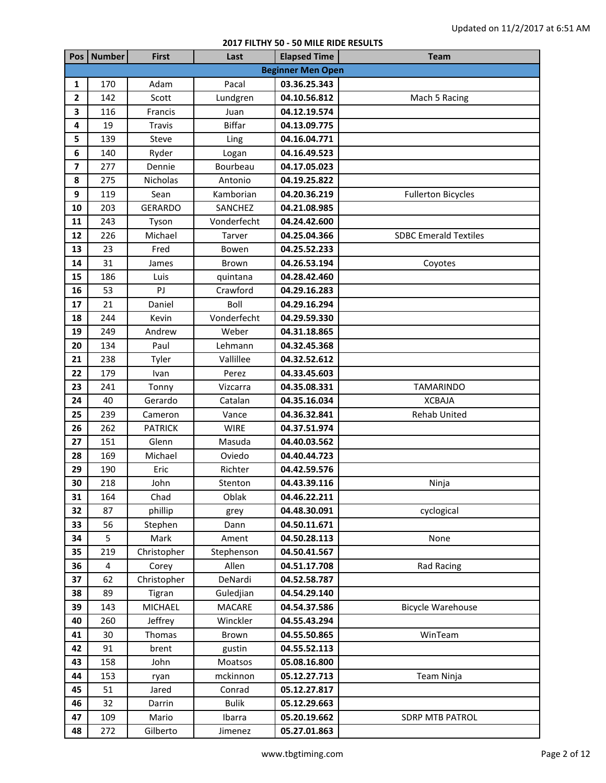| Pos                     | <b>Number</b> | <b>First</b>    | Last          | <b>Elapsed Time</b>      | <b>Team</b>                  |
|-------------------------|---------------|-----------------|---------------|--------------------------|------------------------------|
|                         |               |                 |               | <b>Beginner Men Open</b> |                              |
| 1                       | 170           | Adam            | Pacal         | 03.36.25.343             |                              |
| $\mathbf{2}$            | 142           | Scott           | Lundgren      | 04.10.56.812             | Mach 5 Racing                |
| 3                       | 116           | Francis         | Juan          | 04.12.19.574             |                              |
| 4                       | 19            | <b>Travis</b>   | <b>Biffar</b> | 04.13.09.775             |                              |
| 5                       | 139           | Steve           | Ling          | 04.16.04.771             |                              |
| 6                       | 140           | Ryder           | Logan         | 04.16.49.523             |                              |
| $\overline{\mathbf{z}}$ | 277           | Dennie          | Bourbeau      | 04.17.05.023             |                              |
| 8                       | 275           | <b>Nicholas</b> | Antonio       | 04.19.25.822             |                              |
| $\boldsymbol{9}$        | 119           | Sean            | Kamborian     | 04.20.36.219             | <b>Fullerton Bicycles</b>    |
| 10                      | 203           | <b>GERARDO</b>  | SANCHEZ       | 04.21.08.985             |                              |
| 11                      | 243           | Tyson           | Vonderfecht   | 04.24.42.600             |                              |
| 12                      | 226           | Michael         | Tarver        | 04.25.04.366             | <b>SDBC Emerald Textiles</b> |
| 13                      | 23            | Fred            | Bowen         | 04.25.52.233             |                              |
| 14                      | 31            | James           | Brown         | 04.26.53.194             | Coyotes                      |
| 15                      | 186           | Luis            | quintana      | 04.28.42.460             |                              |
| 16                      | 53            | PJ              | Crawford      | 04.29.16.283             |                              |
| 17                      | 21            | Daniel          | Boll          | 04.29.16.294             |                              |
| 18                      | 244           | Kevin           | Vonderfecht   | 04.29.59.330             |                              |
| 19                      | 249           | Andrew          | Weber         | 04.31.18.865             |                              |
| 20                      | 134           | Paul            | Lehmann       | 04.32.45.368             |                              |
| 21                      | 238           | Tyler           | Vallillee     | 04.32.52.612             |                              |
| 22                      | 179           | Ivan            | Perez         | 04.33.45.603             |                              |
| 23                      | 241           | Tonny           | Vizcarra      | 04.35.08.331             | <b>TAMARINDO</b>             |
| 24                      | 40            | Gerardo         | Catalan       | 04.35.16.034             | <b>XCBAJA</b>                |
| 25                      | 239           | Cameron         | Vance         | 04.36.32.841             | Rehab United                 |
| 26                      | 262           | <b>PATRICK</b>  | <b>WIRE</b>   | 04.37.51.974             |                              |
| 27                      | 151           | Glenn           | Masuda        | 04.40.03.562             |                              |
| 28                      | 169           | Michael         | Oviedo        | 04.40.44.723             |                              |
| 29                      | 190           | Eric            | Richter       | 04.42.59.576             |                              |
| 30                      | 218           | John            | Stenton       | 04.43.39.116             | Ninja                        |
| 31                      | 164           | Chad            | Oblak         | 04.46.22.211             |                              |
| 32                      | 87            | phillip         | grey          | 04.48.30.091             | cyclogical                   |
| 33                      | 56            | Stephen         | Dann          | 04.50.11.671             |                              |
| 34                      | 5             | Mark            | Ament         | 04.50.28.113             | None                         |
| 35                      | 219           | Christopher     | Stephenson    | 04.50.41.567             |                              |
| 36                      | 4             | Corey           | Allen         | 04.51.17.708             | <b>Rad Racing</b>            |
| 37                      | 62            | Christopher     | DeNardi       | 04.52.58.787             |                              |
| 38                      | 89            | Tigran          | Guledjian     | 04.54.29.140             |                              |
| 39                      | 143           | MICHAEL         | MACARE        | 04.54.37.586             | <b>Bicycle Warehouse</b>     |
| 40                      | 260           | Jeffrey         | Winckler      | 04.55.43.294             |                              |
| 41                      | 30            | Thomas          | Brown         | 04.55.50.865             | WinTeam                      |
| 42                      | 91            | brent           | gustin        | 04.55.52.113             |                              |
| 43                      | 158           | John            | Moatsos       | 05.08.16.800             |                              |
| 44                      | 153           | ryan            | mckinnon      | 05.12.27.713             | Team Ninja                   |
| 45                      | 51            | Jared           | Conrad        | 05.12.27.817             |                              |
| 46                      | 32            | Darrin          | <b>Bulik</b>  | 05.12.29.663             |                              |
| 47                      | 109           | Mario           | Ibarra        | 05.20.19.662             | <b>SDRP MTB PATROL</b>       |
| 48                      | 272           | Gilberto        | Jimenez       | 05.27.01.863             |                              |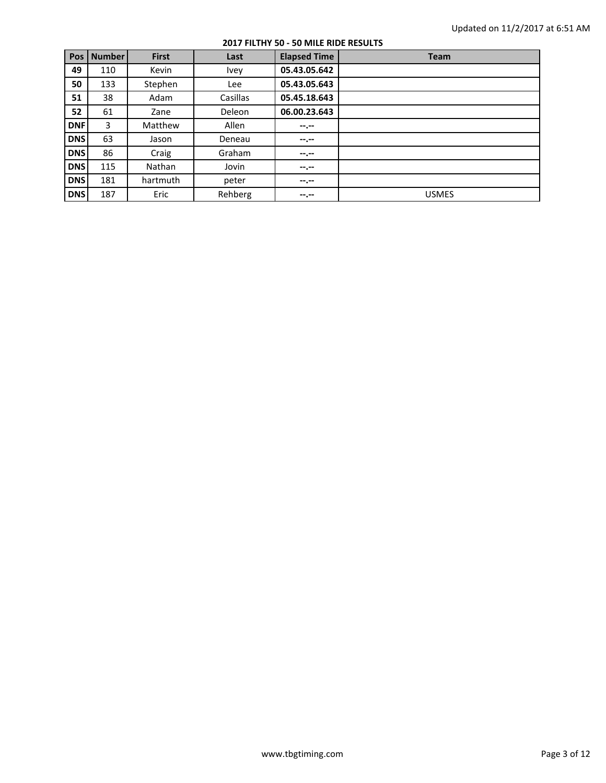| Pos        | <b>Number</b> | <b>First</b> | Last     | <b>Elapsed Time</b> | <b>Team</b>  |
|------------|---------------|--------------|----------|---------------------|--------------|
| 49         | 110           | Kevin        | Ivey     | 05.43.05.642        |              |
| 50         | 133           | Stephen      | Lee      | 05.43.05.643        |              |
| 51         | 38            | Adam         | Casillas | 05.45.18.643        |              |
| 52         | 61            | Zane         | Deleon   | 06.00.23.643        |              |
| <b>DNF</b> | 3             | Matthew      | Allen    | --.--               |              |
| <b>DNS</b> | 63            | Jason        | Deneau   | --.--               |              |
| <b>DNS</b> | 86            | Craig        | Graham   | --.--               |              |
| <b>DNS</b> | 115           | Nathan       | Jovin    | --.--               |              |
| <b>DNS</b> | 181           | hartmuth     | peter    | --.--               |              |
| <b>DNS</b> | 187           | Eric         | Rehberg  | --.--               | <b>USMES</b> |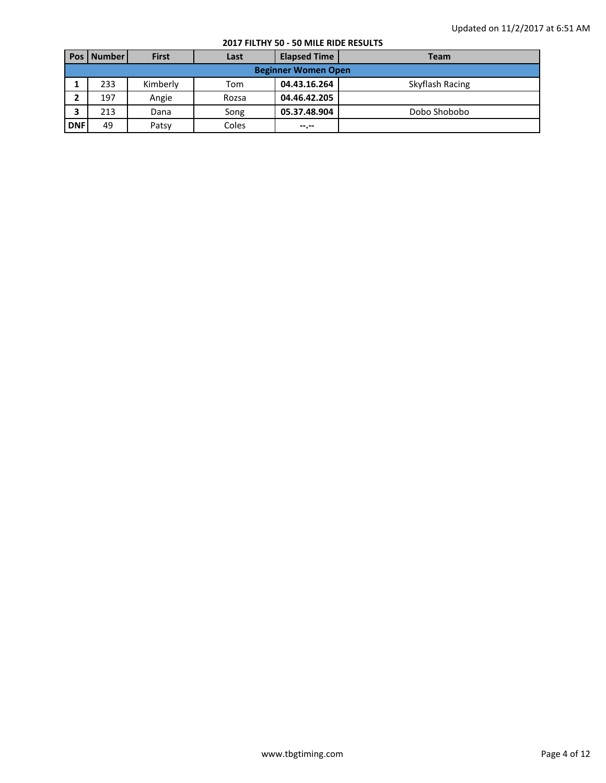|            | <b>Pos   Number  </b>      | <b>First</b> | Last  | <b>Elapsed Time</b> | <b>Team</b>     |  |  |  |
|------------|----------------------------|--------------|-------|---------------------|-----------------|--|--|--|
|            | <b>Beginner Women Open</b> |              |       |                     |                 |  |  |  |
|            | 233                        | Kimberly     | Tom   | 04.43.16.264        | Skyflash Racing |  |  |  |
| h          | 197                        | Angie        | Rozsa | 04.46.42.205        |                 |  |  |  |
| C          | 213                        | Dana         | Song  | 05.37.48.904        | Dobo Shobobo    |  |  |  |
| <b>DNF</b> | 49                         | Patsy        | Coles | $-2 - 2 - 1$        |                 |  |  |  |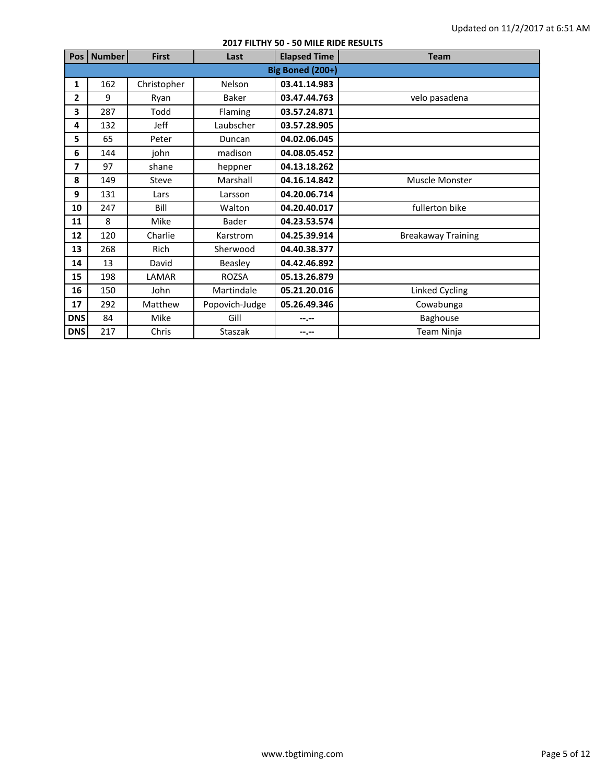| <b>Pos</b>     | <b>Number</b>           | <b>First</b> | Last           | <b>Elapsed Time</b> | <b>Team</b>               |  |  |  |
|----------------|-------------------------|--------------|----------------|---------------------|---------------------------|--|--|--|
|                | <b>Big Boned (200+)</b> |              |                |                     |                           |  |  |  |
| $\mathbf{1}$   | 162                     | Christopher  | Nelson         | 03.41.14.983        |                           |  |  |  |
| $\overline{2}$ | 9                       | Ryan         | Baker          | 03.47.44.763        | velo pasadena             |  |  |  |
| 3              | 287                     | Todd         | Flaming        | 03.57.24.871        |                           |  |  |  |
| 4              | 132                     | Jeff         | Laubscher      | 03.57.28.905        |                           |  |  |  |
| 5              | 65                      | Peter        | Duncan         | 04.02.06.045        |                           |  |  |  |
| 6              | 144                     | john         | madison        | 04.08.05.452        |                           |  |  |  |
| 7              | 97                      | shane        | heppner        | 04.13.18.262        |                           |  |  |  |
| 8              | 149                     | Steve        | Marshall       | 04.16.14.842        | <b>Muscle Monster</b>     |  |  |  |
| 9              | 131                     | Lars         | Larsson        | 04.20.06.714        |                           |  |  |  |
| 10             | 247                     | Bill         | Walton         | 04.20.40.017        | fullerton bike            |  |  |  |
| 11             | 8                       | Mike         | Bader          | 04.23.53.574        |                           |  |  |  |
| 12             | 120                     | Charlie      | Karstrom       | 04.25.39.914        | <b>Breakaway Training</b> |  |  |  |
| 13             | 268                     | Rich         | Sherwood       | 04.40.38.377        |                           |  |  |  |
| 14             | 13                      | David        | Beasley        | 04.42.46.892        |                           |  |  |  |
| 15             | 198                     | LAMAR        | ROZSA          | 05.13.26.879        |                           |  |  |  |
| 16             | 150                     | John         | Martindale     | 05.21.20.016        | Linked Cycling            |  |  |  |
| 17             | 292                     | Matthew      | Popovich-Judge | 05.26.49.346        | Cowabunga                 |  |  |  |
| <b>DNS</b>     | 84                      | Mike         | Gill           | $-2 - 1 - 1 = 0$    | Baghouse                  |  |  |  |
| <b>DNS</b>     | 217                     | Chris        | Staszak        | --.--               | Team Ninja                |  |  |  |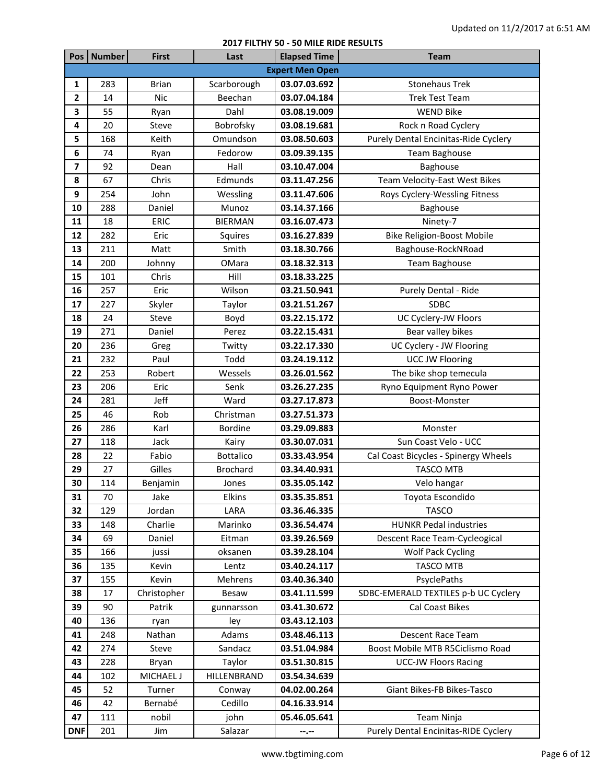| Pos          | <b>Number</b> | <b>First</b>    | Last             | <b>Elapsed Time</b>          | <b>Team</b>                                             |
|--------------|---------------|-----------------|------------------|------------------------------|---------------------------------------------------------|
|              |               |                 |                  | <b>Expert Men Open</b>       |                                                         |
| 1            | 283           | <b>Brian</b>    | Scarborough      | 03.07.03.692                 | <b>Stonehaus Trek</b>                                   |
| $\mathbf{2}$ | 14            | <b>Nic</b>      | Beechan          | 03.07.04.184                 | <b>Trek Test Team</b>                                   |
| 3            | 55            | Ryan            | Dahl             | 03.08.19.009                 | <b>WEND Bike</b>                                        |
| 4            | 20            | Steve           | Bobrofsky        | 03.08.19.681                 | Rock n Road Cyclery                                     |
| 5            | 168           | Keith           | Omundson         | 03.08.50.603                 | Purely Dental Encinitas-Ride Cyclery                    |
| 6            | 74            | Ryan            | Fedorow          | 03.09.39.135                 | Team Baghouse                                           |
| 7            | 92            | Dean            | Hall             | 03.10.47.004                 | Baghouse                                                |
| 8            | 67            | Chris           | Edmunds          | 03.11.47.256                 | Team Velocity-East West Bikes                           |
| 9            | 254           | John            | Wessling         | 03.11.47.606                 | Roys Cyclery-Wessling Fitness                           |
| 10           | 288           | Daniel          | Munoz            | 03.14.37.166                 | Baghouse                                                |
| 11           | 18            | <b>ERIC</b>     | <b>BIERMAN</b>   | 03.16.07.473                 | Ninety-7                                                |
| 12           | 282           | Eric            | Squires          | 03.16.27.839                 | <b>Bike Religion-Boost Mobile</b>                       |
| 13           | 211           | Matt            | Smith            | 03.18.30.766                 | Baghouse-RockNRoad                                      |
| 14           | 200           | Johnny          | OMara            | 03.18.32.313                 | Team Baghouse                                           |
| 15           | 101           | Chris           | Hill             | 03.18.33.225                 |                                                         |
| 16           | 257           | Eric            | Wilson           | 03.21.50.941                 | Purely Dental - Ride                                    |
| 17           | 227           | Skyler          | Taylor           | 03.21.51.267                 | <b>SDBC</b>                                             |
| 18           | 24            | Steve           | Boyd             | 03.22.15.172                 | UC Cyclery-JW Floors                                    |
| 19           | 271           | Daniel          | Perez            | 03.22.15.431                 | Bear valley bikes                                       |
| 20           | 236           | Greg            | Twitty           | 03.22.17.330                 | UC Cyclery - JW Flooring                                |
| 21           | 232           | Paul            | Todd             | 03.24.19.112                 | <b>UCC JW Flooring</b>                                  |
| 22           | 253           | Robert          | Wessels          | 03.26.01.562                 | The bike shop temecula                                  |
| 23           | 206           | Eric            | Senk             | 03.26.27.235                 | Ryno Equipment Ryno Power                               |
| 24           | 281           | Jeff            | Ward             | 03.27.17.873                 | Boost-Monster                                           |
| 25           | 46            | Rob             | Christman        | 03.27.51.373                 |                                                         |
| 26           | 286           | Karl            | <b>Bordine</b>   | 03.29.09.883                 | Monster                                                 |
| 27           | 118           | Jack            | Kairy            | 03.30.07.031                 | Sun Coast Velo - UCC                                    |
| 28           | 22            | Fabio           | <b>Bottalico</b> | 03.33.43.954                 | Cal Coast Bicycles - Spinergy Wheels                    |
| 29           | 27            | Gilles          | <b>Brochard</b>  | 03.34.40.931                 | <b>TASCO MTB</b>                                        |
| 30           | 114           | Benjamin        | Jones            | 03.35.05.142                 | Velo hangar                                             |
| 31           | 70            | Jake            | Elkins           | 03.35.35.851                 | Toyota Escondido                                        |
| 32           | 129           | Jordan          | LARA             | 03.36.46.335                 | <b>TASCO</b>                                            |
| 33           | 148           | Charlie         | Marinko          | 03.36.54.474                 | <b>HUNKR Pedal industries</b>                           |
| 34           | 69            | Daniel          | Eitman           | 03.39.26.569                 | Descent Race Team-Cycleogical                           |
| 35           | 166           | jussi           | oksanen          | 03.39.28.104                 | <b>Wolf Pack Cycling</b>                                |
| 36           | 135           | Kevin           | Lentz            | 03.40.24.117                 | <b>TASCO MTB</b>                                        |
| 37           | 155           | Kevin           | Mehrens          | 03.40.36.340                 | PsyclePaths                                             |
| 38           | 17<br>90      | Christopher     | Besaw            | 03.41.11.599                 | SDBC-EMERALD TEXTILES p-b UC Cyclery<br>Cal Coast Bikes |
| 39<br>40     | 136           | Patrik          | gunnarsson       | 03.41.30.672<br>03.43.12.103 |                                                         |
|              |               | ryan            | ley              | 03.48.46.113                 | Descent Race Team                                       |
| 41<br>42     | 248<br>274    | Nathan<br>Steve | Adams<br>Sandacz | 03.51.04.984                 | Boost Mobile MTB R5Ciclismo Road                        |
| 43           | 228           | Bryan           | Taylor           | 03.51.30.815                 | <b>UCC-JW Floors Racing</b>                             |
| 44           | 102           | MICHAEL J       | HILLENBRAND      | 03.54.34.639                 |                                                         |
| 45           | 52            | Turner          | Conway           | 04.02.00.264                 | Giant Bikes-FB Bikes-Tasco                              |
| 46           | 42            | Bernabé         | Cedillo          | 04.16.33.914                 |                                                         |
| 47           | 111           | nobil           | john             | 05.46.05.641                 | Team Ninja                                              |
| <b>DNF</b>   | 201           | Jim             | Salazar          | --.--                        | Purely Dental Encinitas-RIDE Cyclery                    |
|              |               |                 |                  |                              |                                                         |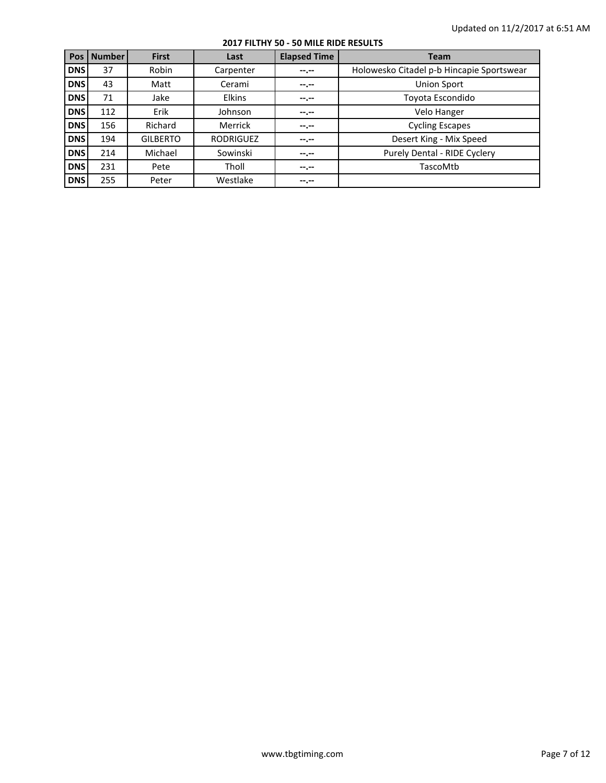| Pos        | <b>Number</b> | <b>First</b>    | Last             | <b>Elapsed Time</b> | <b>Team</b>                               |
|------------|---------------|-----------------|------------------|---------------------|-------------------------------------------|
| <b>DNS</b> | 37            | Robin           | Carpenter        | --.--               | Holowesko Citadel p-b Hincapie Sportswear |
| <b>DNS</b> | 43            | Matt            | Cerami           | --.--               | <b>Union Sport</b>                        |
| <b>DNS</b> | 71            | Jake            | <b>Elkins</b>    | --.--               | Toyota Escondido                          |
| <b>DNS</b> | 112           | Erik            | Johnson          | --.--               | Velo Hanger                               |
| <b>DNS</b> | 156           | Richard         | Merrick          | --.--               | <b>Cycling Escapes</b>                    |
| <b>DNS</b> | 194           | <b>GILBERTO</b> | <b>RODRIGUEZ</b> | --.--               | Desert King - Mix Speed                   |
| <b>DNS</b> | 214           | Michael         | Sowinski         | --.--               | Purely Dental - RIDE Cyclery              |
| <b>DNS</b> | 231           | Pete            | Tholl            | --.--               | TascoMtb                                  |
| <b>DNS</b> | 255           | Peter           | Westlake         | --.--               |                                           |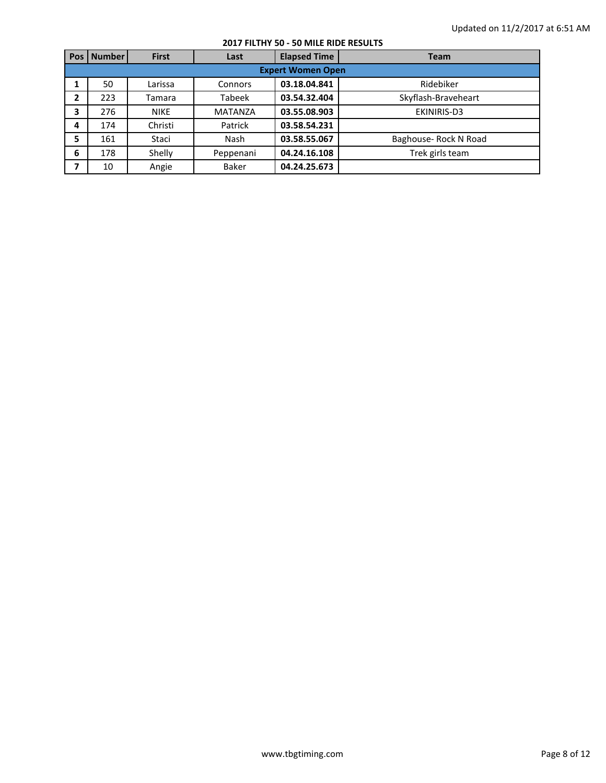| <b>Pos</b> | <b>Number</b>            | <b>First</b> | Last           | <b>Elapsed Time</b> | <b>Team</b>           |  |  |  |  |
|------------|--------------------------|--------------|----------------|---------------------|-----------------------|--|--|--|--|
|            | <b>Expert Women Open</b> |              |                |                     |                       |  |  |  |  |
|            | 50                       | Larissa      | Connors        | 03.18.04.841        | Ridebiker             |  |  |  |  |
| 2          | 223                      | Tamara       | Tabeek         | 03.54.32.404        | Skyflash-Braveheart   |  |  |  |  |
| 3          | 276                      | <b>NIKE</b>  | <b>MATANZA</b> | 03.55.08.903        | EKINIRIS-D3           |  |  |  |  |
| 4          | 174                      | Christi      | Patrick        | 03.58.54.231        |                       |  |  |  |  |
| 5          | 161                      | Staci        | <b>Nash</b>    | 03.58.55.067        | Baghouse- Rock N Road |  |  |  |  |
| 6          | 178                      | Shelly       | Peppenani      | 04.24.16.108        | Trek girls team       |  |  |  |  |
| 7          | 10                       | Angie        | Baker          | 04.24.25.673        |                       |  |  |  |  |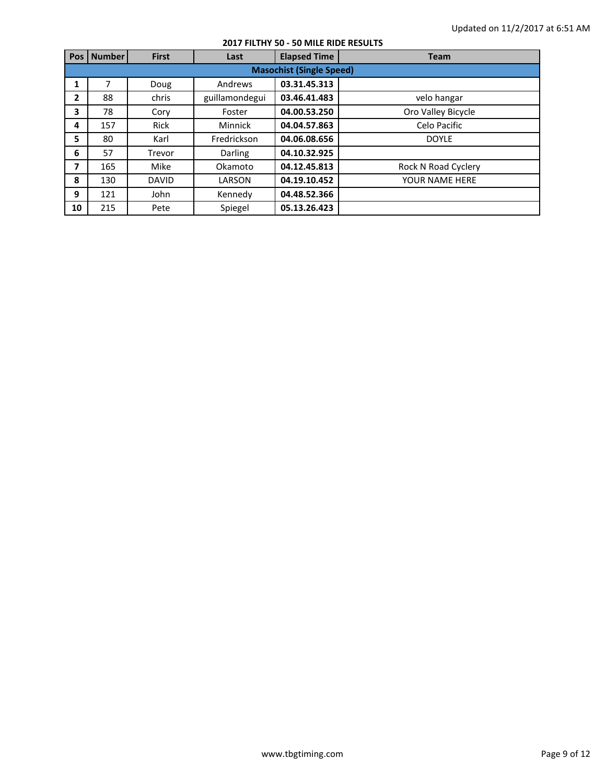| Pos I | <b>Number</b>                   | <b>First</b>  | Last           | <b>Elapsed Time</b> | <b>Team</b>         |  |  |  |  |
|-------|---------------------------------|---------------|----------------|---------------------|---------------------|--|--|--|--|
|       | <b>Masochist (Single Speed)</b> |               |                |                     |                     |  |  |  |  |
| 1     | 7                               | Doug          | Andrews        | 03.31.45.313        |                     |  |  |  |  |
| 2     | 88                              | chris         | guillamondegui | 03.46.41.483        | velo hangar         |  |  |  |  |
| 3     | 78                              | Cory          | Foster         | 04.00.53.250        | Oro Valley Bicycle  |  |  |  |  |
| 4     | 157                             | <b>Rick</b>   | <b>Minnick</b> | 04.04.57.863        | Celo Pacific        |  |  |  |  |
| 5     | 80                              | Karl          | Fredrickson    | 04.06.08.656        | <b>DOYLE</b>        |  |  |  |  |
| 6     | 57                              | <b>Trevor</b> | Darling        | 04.10.32.925        |                     |  |  |  |  |
| 7     | 165                             | Mike          | Okamoto        | 04.12.45.813        | Rock N Road Cyclery |  |  |  |  |
| 8     | 130                             | <b>DAVID</b>  | LARSON         | 04.19.10.452        | YOUR NAME HERE      |  |  |  |  |
| 9     | 121                             | John          | Kennedy        | 04.48.52.366        |                     |  |  |  |  |
| 10    | 215                             | Pete          | Spiegel        | 05.13.26.423        |                     |  |  |  |  |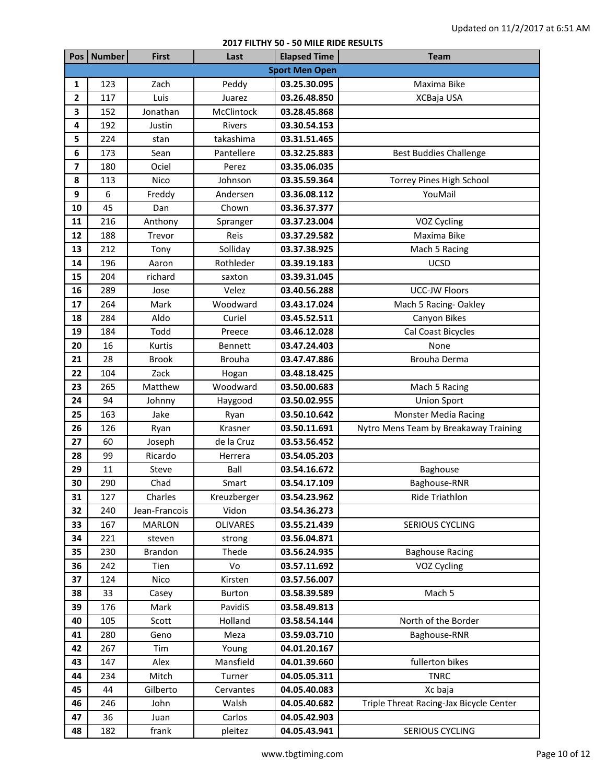| Nytro Mens Team by Breakaway Training   |
|-----------------------------------------|
|                                         |
|                                         |
|                                         |
|                                         |
|                                         |
|                                         |
|                                         |
|                                         |
|                                         |
|                                         |
|                                         |
|                                         |
|                                         |
|                                         |
|                                         |
|                                         |
|                                         |
|                                         |
| Triple Threat Racing-Jax Bicycle Center |
|                                         |
|                                         |
|                                         |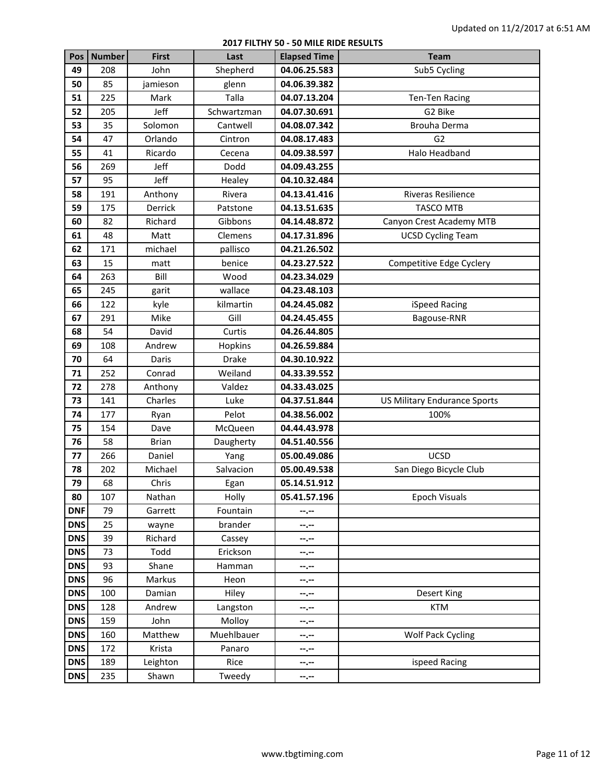| Pos        | <b>Number</b> | <b>First</b> | Last         | <b>Elapsed Time</b> | <b>Team</b>                         |
|------------|---------------|--------------|--------------|---------------------|-------------------------------------|
| 49         | 208           | John         | Shepherd     | 04.06.25.583        | Sub5 Cycling                        |
| 50         | 85            | jamieson     | glenn        | 04.06.39.382        |                                     |
| 51         | 225           | Mark         | Talla        | 04.07.13.204        | Ten-Ten Racing                      |
| 52         | 205           | Jeff         | Schwartzman  | 04.07.30.691        | G2 Bike                             |
| 53         | 35            | Solomon      | Cantwell     | 04.08.07.342        | Brouha Derma                        |
| 54         | 47            | Orlando      | Cintron      | 04.08.17.483        | G <sub>2</sub>                      |
| 55         | 41            | Ricardo      | Cecena       | 04.09.38.597        | Halo Headband                       |
| 56         | 269           | Jeff         | Dodd         | 04.09.43.255        |                                     |
| 57         | 95            | Jeff         | Healey       | 04.10.32.484        |                                     |
| 58         | 191           | Anthony      | Rivera       | 04.13.41.416        | Riveras Resilience                  |
| 59         | 175           | Derrick      | Patstone     | 04.13.51.635        | <b>TASCO MTB</b>                    |
| 60         | 82            | Richard      | Gibbons      | 04.14.48.872        | Canyon Crest Academy MTB            |
| 61         | 48            | Matt         | Clemens      | 04.17.31.896        | <b>UCSD Cycling Team</b>            |
| 62         | 171           | michael      | pallisco     | 04.21.26.502        |                                     |
| 63         | 15            | matt         | benice       | 04.23.27.522        | Competitive Edge Cyclery            |
| 64         | 263           | Bill         | Wood         | 04.23.34.029        |                                     |
| 65         | 245           | garit        | wallace      | 04.23.48.103        |                                     |
| 66         | 122           | kyle         | kilmartin    | 04.24.45.082        | iSpeed Racing                       |
| 67         | 291           | Mike         | Gill         | 04.24.45.455        | Bagouse-RNR                         |
| 68         | 54            | David        | Curtis       | 04.26.44.805        |                                     |
| 69         | 108           | Andrew       | Hopkins      | 04.26.59.884        |                                     |
| 70         | 64            | Daris        | <b>Drake</b> | 04.30.10.922        |                                     |
| 71         | 252           | Conrad       | Weiland      | 04.33.39.552        |                                     |
| 72         | 278           | Anthony      | Valdez       | 04.33.43.025        |                                     |
| 73         | 141           | Charles      | Luke         | 04.37.51.844        | <b>US Military Endurance Sports</b> |
| 74         | 177           | Ryan         | Pelot        | 04.38.56.002        | 100%                                |
| 75         | 154           | Dave         | McQueen      | 04.44.43.978        |                                     |
| 76         | 58            | <b>Brian</b> | Daugherty    | 04.51.40.556        |                                     |
| 77         | 266           | Daniel       | Yang         | 05.00.49.086        | <b>UCSD</b>                         |
| 78         | 202           | Michael      | Salvacion    | 05.00.49.538        | San Diego Bicycle Club              |
| 79         | 68            | Chris        | Egan         | 05.14.51.912        |                                     |
| 80         | 107           | Nathan       | Holly        | 05.41.57.196        | Epoch Visuals                       |
| <b>DNF</b> | 79            | Garrett      | Fountain     | --.--               |                                     |
| <b>DNS</b> | 25            | wayne        | brander      | --.--               |                                     |
| <b>DNS</b> | 39            | Richard      | Cassey       | --.--               |                                     |
| <b>DNS</b> | 73            | Todd         | Erickson     | --.--               |                                     |
| <b>DNS</b> | 93            | Shane        | Hamman       | --.--               |                                     |
| <b>DNS</b> | 96            | Markus       | Heon         | --.--               |                                     |
| <b>DNS</b> | 100           | Damian       | Hiley        | --.--               | Desert King                         |
| <b>DNS</b> | 128           | Andrew       | Langston     | --.--               | <b>KTM</b>                          |
| <b>DNS</b> | 159           | John         | Molloy       | --.--               |                                     |
| <b>DNS</b> | 160           | Matthew      | Muehlbauer   | --.--               | Wolf Pack Cycling                   |
| <b>DNS</b> | 172           | Krista       | Panaro       | --.--               |                                     |
| <b>DNS</b> | 189           | Leighton     | Rice         | --.--               | ispeed Racing                       |
| <b>DNS</b> | 235           | Shawn        | Tweedy       | --.--               |                                     |